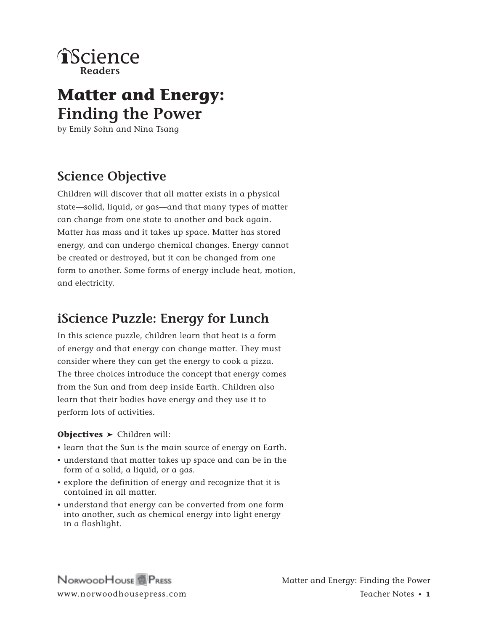

# **Matter and Energy: Finding the Power**

by Emily Sohn and Nina Tsang

## **Science Objective**

Children will discover that all matter exists in a physical state—solid, liquid, or gas—and that many types of matter can change from one state to another and back again. Matter has mass and it takes up space. Matter has stored energy, and can undergo chemical changes. Energy cannot be created or destroyed, but it can be changed from one form to another. Some forms of energy include heat, motion, and electricity.

## **iScience Puzzle: Energy for Lunch**

In this science puzzle, children learn that heat is a form of energy and that energy can change matter. They must consider where they can get the energy to cook a pizza. The three choices introduce the concept that energy comes from the Sun and from deep inside Earth. Children also learn that their bodies have energy and they use it to perform lots of activities.

#### **Objectives** > Children will:

- learn that the Sun is the main source of energy on Earth.
- • understand that matter takes up space and can be in the form of a solid, a liquid, or a gas.
- • explore the definition of energy and recognize that it is contained in all matter.
- understand that energy can be converted from one form into another, such as chemical energy into light energy in a flashlight.

NORWOODHOUSE<sup>R</sup> PRESS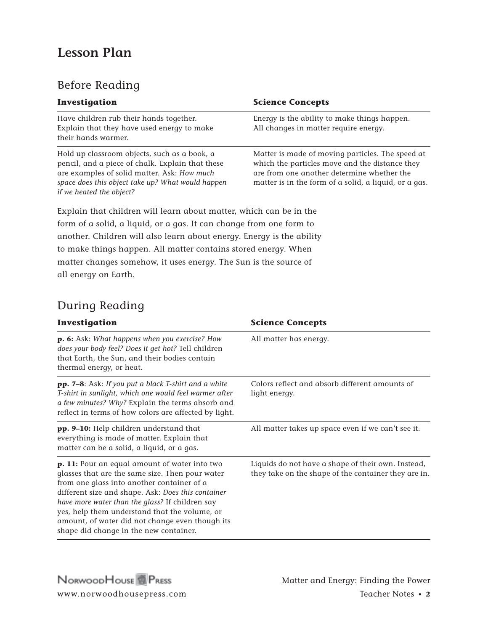## **Lesson Plan**

## Before Reading

| Investigation                                                                                                                                                                                                                    | <b>Science Concepts</b>                                                                                                                                                                                   |
|----------------------------------------------------------------------------------------------------------------------------------------------------------------------------------------------------------------------------------|-----------------------------------------------------------------------------------------------------------------------------------------------------------------------------------------------------------|
| Have children rub their hands together.<br>Explain that they have used energy to make<br>their hands warmer.                                                                                                                     | Energy is the ability to make things happen.<br>All changes in matter require energy.                                                                                                                     |
| Hold up classroom objects, such as a book, a<br>pencil, and a piece of chalk. Explain that these<br>are examples of solid matter. Ask: How much<br>space does this object take up? What would happen<br>if we heated the object? | Matter is made of moving particles. The speed at<br>which the particles move and the distance they<br>are from one another determine whether the<br>matter is in the form of a solid, a liquid, or a gas. |
| Explain that children will learn about matter, which can be in the                                                                                                                                                               |                                                                                                                                                                                                           |
| form of a solid, a liquid, or a gas. It can change from one form to                                                                                                                                                              |                                                                                                                                                                                                           |

another. Children will also learn about energy. Energy is the ability to make things happen. All matter contains stored energy. When matter changes somehow, it uses energy. The Sun is the source of all energy on Earth.

### During Reading

| Investigation                                                                                                                                                                                                                                                                                                                                                                                         | <b>Science Concepts</b>                                                                                    |
|-------------------------------------------------------------------------------------------------------------------------------------------------------------------------------------------------------------------------------------------------------------------------------------------------------------------------------------------------------------------------------------------------------|------------------------------------------------------------------------------------------------------------|
| p. 6: Ask: What happens when you exercise? How<br>does your body feel? Does it get hot? Tell children<br>that Earth, the Sun, and their bodies contain<br>thermal energy, or heat.                                                                                                                                                                                                                    | All matter has energy.                                                                                     |
| <b>pp. 7–8</b> : Ask: If you put a black T-shirt and a white<br>T-shirt in sunlight, which one would feel warmer after<br>a few minutes? Why? Explain the terms absorb and<br>reflect in terms of how colors are affected by light.                                                                                                                                                                   | Colors reflect and absorb different amounts of<br>light energy.                                            |
| pp. 9-10: Help children understand that<br>everything is made of matter. Explain that<br>matter can be a solid, a liquid, or a gas.                                                                                                                                                                                                                                                                   | All matter takes up space even if we can't see it.                                                         |
| p. 11: Pour an equal amount of water into two<br>glasses that are the same size. Then pour water<br>from one glass into another container of a<br>different size and shape. Ask: Does this container<br>have more water than the glass? If children say<br>yes, help them understand that the volume, or<br>amount, of water did not change even though its<br>shape did change in the new container. | Liquids do not have a shape of their own. Instead,<br>they take on the shape of the container they are in. |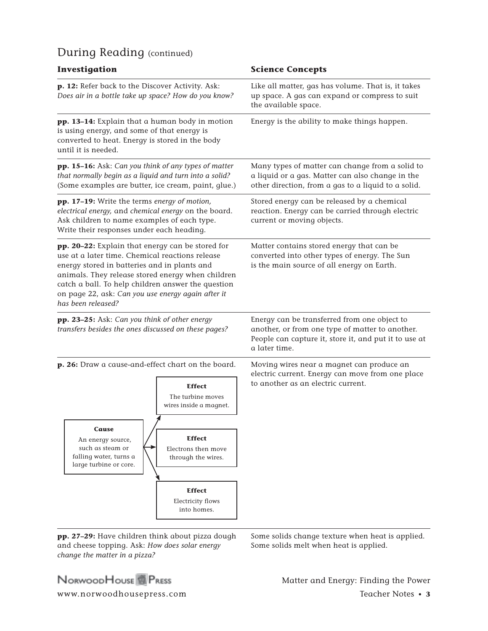### During Reading (continued)

| Investigation                                                                                                                                                                                                                                                                                                                              | <b>Science Concepts</b>                                                                                                                                                   |
|--------------------------------------------------------------------------------------------------------------------------------------------------------------------------------------------------------------------------------------------------------------------------------------------------------------------------------------------|---------------------------------------------------------------------------------------------------------------------------------------------------------------------------|
| p. 12: Refer back to the Discover Activity. Ask:<br>Does air in a bottle take up space? How do you know?                                                                                                                                                                                                                                   | Like all matter, gas has volume. That is, it takes<br>up space. A gas can expand or compress to suit<br>the available space.                                              |
| pp. 13-14: Explain that a human body in motion<br>is using energy, and some of that energy is<br>converted to heat. Energy is stored in the body<br>until it is needed.                                                                                                                                                                    | Energy is the ability to make things happen.                                                                                                                              |
| <b>pp. 15-16:</b> Ask: Can you think of any types of matter<br>that normally begin as a liquid and turn into a solid?<br>(Some examples are butter, ice cream, paint, glue.)                                                                                                                                                               | Many types of matter can change from a solid to<br>a liquid or a gas. Matter can also change in the<br>other direction, from a gas to a liquid to a solid.                |
| pp. 17-19: Write the terms energy of motion,<br>electrical energy, and chemical energy on the board.<br>Ask children to name examples of each type.<br>Write their responses under each heading.                                                                                                                                           | Stored energy can be released by a chemical<br>reaction. Energy can be carried through electric<br>current or moving objects.                                             |
| pp. 20-22: Explain that energy can be stored for<br>use at a later time. Chemical reactions release<br>energy stored in batteries and in plants and<br>animals. They release stored energy when children<br>catch a ball. To help children answer the question<br>on page 22, ask: Can you use energy again after it<br>has been released? | Matter contains stored energy that can be<br>converted into other types of energy. The Sun<br>is the main source of all energy on Earth.                                  |
| pp. 23-25: Ask: Can you think of other energy<br>transfers besides the ones discussed on these pages?                                                                                                                                                                                                                                      | Energy can be transferred from one object to<br>another, or from one type of matter to another.<br>People can capture it, store it, and put it to use at<br>a later time. |
| p. 26: Draw a cause-and-effect chart on the board.<br><b>Effect</b><br>The turbine moves<br>wires inside a magnet.<br>Cause<br><b>Effect</b><br>An energy source,<br>such as steam or<br>Electrons then move<br>falling water, turns a<br>through the wires.<br>large turbine or core.<br><b>Effect</b>                                    | Moving wires near a magnet can produce an<br>electric current. Energy can move from one place<br>to another as an electric current.                                       |
| Electricity flows<br>into homes.                                                                                                                                                                                                                                                                                                           |                                                                                                                                                                           |

**pp. 27–29:** Have children think about pizza dough and cheese topping. Ask: *How does solar energy change the matter in a pizza?*

Some solids change texture when heat is applied. Some solids melt when heat is applied.

NORWOODHOUSE<sup>N</sup> PRESS

www.norwoodhousepress.com Teacher Notes • **3** Matter and Energy: Finding the Power